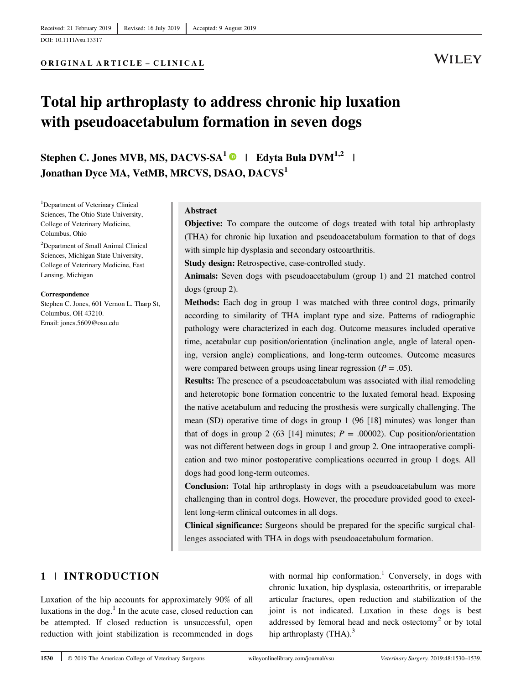DOI: 10.1111/vsu.13317

#### ORIGINAL ARTICLE – CLINICAL

## **WILEY**

# Total hip arthroplasty to address chronic hip luxation with pseudoacetabulum formation in seven dogs

Stephen C. Jones MVB, MS, DACVS-SA<sup>1</sup>  $\bullet$  | Edyta Bula DVM<sup>1,2</sup> | Jonathan Dyce MA, VetMB, MRCVS, DSAO, DACVS<sup>1</sup>

<sup>1</sup>Department of Veterinary Clinical Sciences, The Ohio State University, College of Veterinary Medicine, Columbus, Ohio

<sup>2</sup>Department of Small Animal Clinical Sciences, Michigan State University, College of Veterinary Medicine, East Lansing, Michigan

#### Correspondence

Stephen C. Jones, 601 Vernon L. Tharp St, Columbus, OH 43210. Email: [jones.5609@osu.edu](mailto:jones.5609@osu.edu)

#### Abstract

Objective: To compare the outcome of dogs treated with total hip arthroplasty (THA) for chronic hip luxation and pseudoacetabulum formation to that of dogs with simple hip dysplasia and secondary osteoarthritis.

Study design: Retrospective, case-controlled study.

Animals: Seven dogs with pseudoacetabulum (group 1) and 21 matched control dogs (group 2).

Methods: Each dog in group 1 was matched with three control dogs, primarily according to similarity of THA implant type and size. Patterns of radiographic pathology were characterized in each dog. Outcome measures included operative time, acetabular cup position/orientation (inclination angle, angle of lateral opening, version angle) complications, and long-term outcomes. Outcome measures were compared between groups using linear regression ( $P = .05$ ).

Results: The presence of a pseudoacetabulum was associated with ilial remodeling and heterotopic bone formation concentric to the luxated femoral head. Exposing the native acetabulum and reducing the prosthesis were surgically challenging. The mean (SD) operative time of dogs in group 1 (96 [18] minutes) was longer than that of dogs in group 2 (63 [14] minutes;  $P = .00002$ ). Cup position/orientation was not different between dogs in group 1 and group 2. One intraoperative complication and two minor postoperative complications occurred in group 1 dogs. All dogs had good long-term outcomes.

Conclusion: Total hip arthroplasty in dogs with a pseudoacetabulum was more challenging than in control dogs. However, the procedure provided good to excellent long-term clinical outcomes in all dogs.

Clinical significance: Surgeons should be prepared for the specific surgical challenges associated with THA in dogs with pseudoacetabulum formation.

### 1 | INTRODUCTION

Luxation of the hip accounts for approximately 90% of all luxations in the dog. $<sup>1</sup>$  In the acute case, closed reduction can</sup> be attempted. If closed reduction is unsuccessful, open reduction with joint stabilization is recommended in dogs

with normal hip conformation.<sup>1</sup> Conversely, in dogs with chronic luxation, hip dysplasia, osteoarthritis, or irreparable articular fractures, open reduction and stabilization of the joint is not indicated. Luxation in these dogs is best addressed by femoral head and neck ostectomy<sup>2</sup> or by total hip arthroplasty (THA). $3$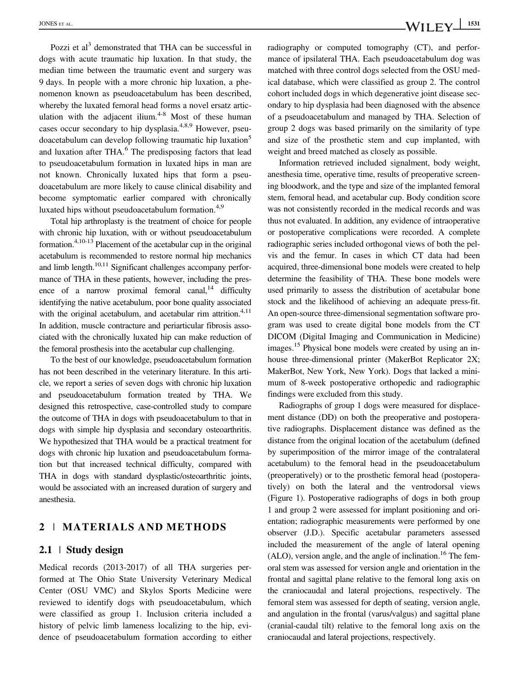Pozzi et al<sup>3</sup> demonstrated that THA can be successful in dogs with acute traumatic hip luxation. In that study, the median time between the traumatic event and surgery was 9 days. In people with a more chronic hip luxation, a phenomenon known as pseudoacetabulum has been described, whereby the luxated femoral head forms a novel ersatz articulation with the adjacent ilium. $4-8$  Most of these human cases occur secondary to hip dysplasia.4,8,9 However, pseudoacetabulum can develop following traumatic hip luxation<sup>5</sup> and luxation after THA.<sup>6</sup> The predisposing factors that lead to pseudoacetabulum formation in luxated hips in man are not known. Chronically luxated hips that form a pseudoacetabulum are more likely to cause clinical disability and become symptomatic earlier compared with chronically luxated hips without pseudoacetabulum formation.<sup>4,9</sup>

Total hip arthroplasty is the treatment of choice for people with chronic hip luxation, with or without pseudoacetabulum formation.4,10-13 Placement of the acetabular cup in the original acetabulum is recommended to restore normal hip mechanics and limb length.<sup>10,11</sup> Significant challenges accompany performance of THA in these patients, however, including the presence of a narrow proximal femoral canal,  $14$  difficulty identifying the native acetabulum, poor bone quality associated with the original acetabulum, and acetabular rim attrition. $4,11$ In addition, muscle contracture and periarticular fibrosis associated with the chronically luxated hip can make reduction of the femoral prosthesis into the acetabular cup challenging.

To the best of our knowledge, pseudoacetabulum formation has not been described in the veterinary literature. In this article, we report a series of seven dogs with chronic hip luxation and pseudoacetabulum formation treated by THA. We designed this retrospective, case-controlled study to compare the outcome of THA in dogs with pseudoacetabulum to that in dogs with simple hip dysplasia and secondary osteoarthritis. We hypothesized that THA would be a practical treatment for dogs with chronic hip luxation and pseudoacetabulum formation but that increased technical difficulty, compared with THA in dogs with standard dysplastic/osteoarthritic joints, would be associated with an increased duration of surgery and anesthesia.

#### 2 | MATERIALS AND METHODS

#### 2.1 | Study design

Medical records (2013-2017) of all THA surgeries performed at The Ohio State University Veterinary Medical Center (OSU VMC) and Skylos Sports Medicine were reviewed to identify dogs with pseudoacetabulum, which were classified as group 1. Inclusion criteria included a history of pelvic limb lameness localizing to the hip, evidence of pseudoacetabulum formation according to either radiography or computed tomography (CT), and performance of ipsilateral THA. Each pseudoacetabulum dog was matched with three control dogs selected from the OSU medical database, which were classified as group 2. The control cohort included dogs in which degenerative joint disease secondary to hip dysplasia had been diagnosed with the absence of a pseudoacetabulum and managed by THA. Selection of group 2 dogs was based primarily on the similarity of type and size of the prosthetic stem and cup implanted, with weight and breed matched as closely as possible.

Information retrieved included signalment, body weight, anesthesia time, operative time, results of preoperative screening bloodwork, and the type and size of the implanted femoral stem, femoral head, and acetabular cup. Body condition score was not consistently recorded in the medical records and was thus not evaluated. In addition, any evidence of intraoperative or postoperative complications were recorded. A complete radiographic series included orthogonal views of both the pelvis and the femur. In cases in which CT data had been acquired, three-dimensional bone models were created to help determine the feasibility of THA. These bone models were used primarily to assess the distribution of acetabular bone stock and the likelihood of achieving an adequate press-fit. An open-source three-dimensional segmentation software program was used to create digital bone models from the CT DICOM (Digital Imaging and Communication in Medicine) images.15 Physical bone models were created by using an inhouse three-dimensional printer (MakerBot Replicator 2X; MakerBot, New York, New York). Dogs that lacked a minimum of 8-week postoperative orthopedic and radiographic findings were excluded from this study.

Radiographs of group 1 dogs were measured for displacement distance (DD) on both the preoperative and postoperative radiographs. Displacement distance was defined as the distance from the original location of the acetabulum (defined by superimposition of the mirror image of the contralateral acetabulum) to the femoral head in the pseudoacetabulum (preoperatively) or to the prosthetic femoral head (postoperatively) on both the lateral and the ventrodorsal views (Figure 1). Postoperative radiographs of dogs in both group 1 and group 2 were assessed for implant positioning and orientation; radiographic measurements were performed by one observer (J.D.). Specific acetabular parameters assessed included the measurement of the angle of lateral opening  $(ALO)$ , version angle, and the angle of inclination.<sup>16</sup> The femoral stem was assessed for version angle and orientation in the frontal and sagittal plane relative to the femoral long axis on the craniocaudal and lateral projections, respectively. The femoral stem was assessed for depth of seating, version angle, and angulation in the frontal (varus/valgus) and sagittal plane (cranial-caudal tilt) relative to the femoral long axis on the craniocaudal and lateral projections, respectively.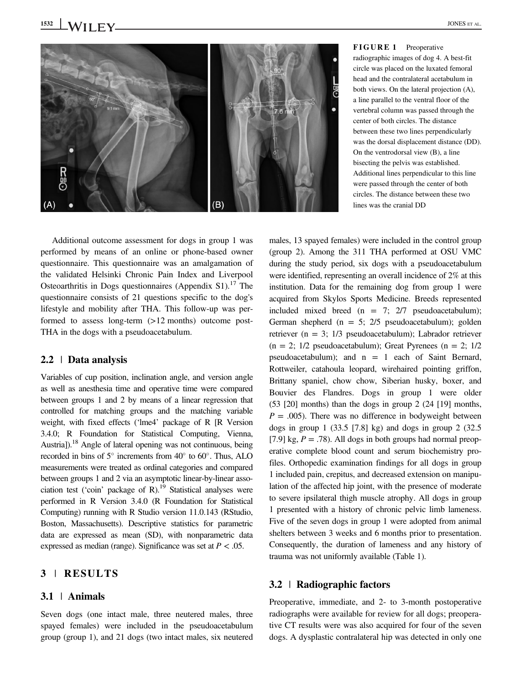

FIGURE 1 Preoperative radiographic images of dog 4. A best-fit circle was placed on the luxated femoral head and the contralateral acetabulum in both views. On the lateral projection (A), a line parallel to the ventral floor of the vertebral column was passed through the center of both circles. The distance between these two lines perpendicularly was the dorsal displacement distance (DD). On the ventrodorsal view (B), a line bisecting the pelvis was established. Additional lines perpendicular to this line were passed through the center of both circles. The distance between these two lines was the cranial DD

Additional outcome assessment for dogs in group 1 was performed by means of an online or phone-based owner questionnaire. This questionnaire was an amalgamation of the validated Helsinki Chronic Pain Index and Liverpool Osteoarthritis in Dogs questionnaires (Appendix  $S1$ ).<sup>17</sup> The questionnaire consists of 21 questions specific to the dog's lifestyle and mobility after THA. This follow-up was performed to assess long-term (>12 months) outcome post-THA in the dogs with a pseudoacetabulum.

#### 2.2 | Data analysis

Variables of cup position, inclination angle, and version angle as well as anesthesia time and operative time were compared between groups 1 and 2 by means of a linear regression that controlled for matching groups and the matching variable weight, with fixed effects ('lme4' package of R [R Version 3.4.0; R Foundation for Statistical Computing, Vienna, Austria]).18 Angle of lateral opening was not continuous, being recorded in bins of  $5^\circ$  increments from  $40^\circ$  to  $60^\circ$ . Thus, ALO measurements were treated as ordinal categories and compared between groups 1 and 2 via an asymptotic linear-by-linear association test ('coin' package of R).<sup>19</sup> Statistical analyses were performed in R Version 3.4.0 (R Foundation for Statistical Computing) running with R Studio version 11.0.143 (RStudio, Boston, Massachusetts). Descriptive statistics for parametric data are expressed as mean (SD), with nonparametric data expressed as median (range). Significance was set at  $P < .05$ .

#### 3 | RESULTS

#### 3.1 | Animals

Seven dogs (one intact male, three neutered males, three spayed females) were included in the pseudoacetabulum group (group 1), and 21 dogs (two intact males, six neutered males, 13 spayed females) were included in the control group (group 2). Among the 311 THA performed at OSU VMC during the study period, six dogs with a pseudoacetabulum were identified, representing an overall incidence of 2% at this institution. Data for the remaining dog from group 1 were acquired from Skylos Sports Medicine. Breeds represented included mixed breed  $(n = 7; 2/7)$  pseudoacetabulum); German shepherd ( $n = 5$ ; 2/5 pseudoacetabulum); golden retriever (n = 3; 1/3 pseudoacetabulum); Labrador retriever  $(n = 2; 1/2)$  pseudoacetabulum); Great Pyrenees  $(n = 2; 1/2)$ pseudoacetabulum); and  $n = 1$  each of Saint Bernard, Rottweiler, catahoula leopard, wirehaired pointing griffon, Brittany spaniel, chow chow, Siberian husky, boxer, and Bouvier des Flandres. Dogs in group 1 were older (53 [20] months) than the dogs in group 2 (24 [19] months,  $P = .005$ ). There was no difference in bodyweight between dogs in group 1 (33.5 [7.8] kg) and dogs in group 2 (32.5 [7.9] kg,  $P = .78$ ). All dogs in both groups had normal preoperative complete blood count and serum biochemistry profiles. Orthopedic examination findings for all dogs in group 1 included pain, crepitus, and decreased extension on manipulation of the affected hip joint, with the presence of moderate to severe ipsilateral thigh muscle atrophy. All dogs in group 1 presented with a history of chronic pelvic limb lameness. Five of the seven dogs in group 1 were adopted from animal shelters between 3 weeks and 6 months prior to presentation. Consequently, the duration of lameness and any history of trauma was not uniformly available (Table 1).

#### 3.2 | Radiographic factors

Preoperative, immediate, and 2- to 3-month postoperative radiographs were available for review for all dogs; preoperative CT results were was also acquired for four of the seven dogs. A dysplastic contralateral hip was detected in only one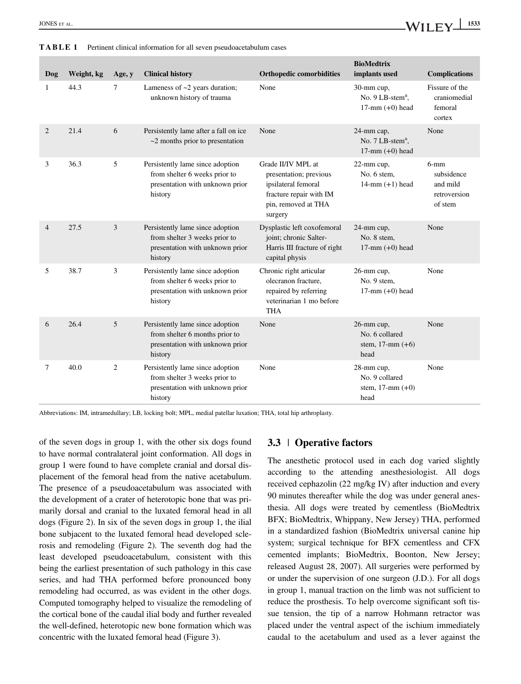Dog Weight, kg Age, y Clinical history Orthopedic comorbidities BioMedtrix implants used Complications 1 44.3 7 Lameness of ~2 years duration; unknown history of trauma None 30-mm cup, No. 9 LB-stem<sup>a</sup>,  $17$ -mm  $(+0)$  head Fissure of the craniomedial femoral cortex 2 21.4 6 Persistently lame after a fall on ice ~2 months prior to presentation None 24-mm cap, No. 7 LB-stem<sup>a</sup>,  $17-mm (+0)$  head None 3 36.3 5 Persistently lame since adoption from shelter 6 weeks prior to presentation with unknown prior history Grade II/IV MPL at presentation; previous ipsilateral femoral fracture repair with IM pin, removed at THA surgery 22-mm cup, No. 6 stem, 14-mm (+1) head 6-mm subsidence and mild retroversion of stem 4 27.5 3 Persistently lame since adoption from shelter 3 weeks prior to presentation with unknown prior history Dysplastic left coxofemoral joint; chronic Salter-Harris III fracture of right capital physis 24-mm cup, No. 8 stem, 17-mm (+0) head None 5 38.7 3 Persistently lame since adoption from shelter 6 weeks prior to presentation with unknown prior history Chronic right articular olecranon fracture, repaired by referring veterinarian 1 mo before TH A 26-mm cup, No. 9 stem, 17-mm (+0) head None 6 26.4 5 Persistently lame since adoption from shelter 6 months prior to presentation with unknown prior history None 26-mm cup, No. 6 collared stem, 17-mm (+6) head None

| <b>TABLE 1</b> Pertinent clinical information for all seven pseudoacetabulum cases |
|------------------------------------------------------------------------------------|
|------------------------------------------------------------------------------------|

Abbreviations: IM, intramedullary; LB, locking bolt; MPL, medial patellar luxation; THA, total hip arthroplasty.

from shelter 3 weeks prior to presentation with unknown prior

of the seven dogs in group 1, with the other six dogs found to have normal contralateral joint conformation. All dogs in group 1 were found to have complete cranial and dorsal displacement of the femoral head from the native acetabulum. The presence of a pseudoacetabulum was associated with the development of a crater of heterotopic bone that was primarily dorsal and cranial to the luxated femoral head in all dogs (Figure 2). In six of the seven dogs in group 1, the ilial bone subjacent to the luxated femoral head developed sclerosis and remodeling (Figure 2). The seventh dog had the least developed pseudoacetabulum, consistent with this being the earliest presentation of such pathology in this case series, and had THA performed before pronounced bony remodeling had occurred, as was evident in the other dogs. Computed tomography helped to visualize the remodeling of the cortical bone of the caudal ilial body and further revealed the well-defined, heterotopic new bone formation which was concentric with the luxated femoral head (Figure 3).

7 40.0 2 Persistently lame since adoption

history

#### 3.3 | Operative factors

None 28-mm cup,

The anesthetic protocol used in each dog varied slightly according to the attending anesthesiologist. All dogs received cephazolin (22 mg/kg IV) after induction and every 90 minutes thereafter while the dog was under general anesthesia. All dogs were treated by cementless (BioMedtrix BFX; BioMedtrix, Whippany, New Jersey) THA, performed in a standardized fashion (BioMedtrix universal canine hip system; surgical technique for BFX cementless and CFX cemented implants; BioMedtrix, Boonton, New Jersey; released August 28, 2007). All surgeries were performed by or under the supervision of one surgeon (J.D.). For all dogs in group 1, manual traction on the limb was not sufficient to reduce the prosthesis. To help overcome significant soft tissue tension, the tip of a narrow Hohmann retractor was placed under the ventral aspect of the ischium immediately caudal to the acetabulum and used as a lever against the

No. 9 collared stem, 17-mm (+0) None

head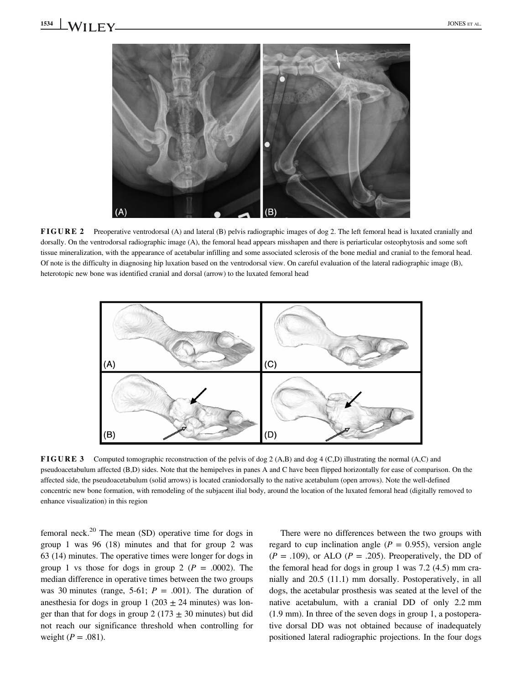

FIGURE 2 Preoperative ventrodorsal (A) and lateral (B) pelvis radiographic images of dog 2. The left femoral head is luxated cranially and dorsally. On the ventrodorsal radiographic image (A), the femoral head appears misshapen and there is periarticular osteophytosis and some soft tissue mineralization, with the appearance of acetabular infilling and some associated sclerosis of the bone medial and cranial to the femoral head. Of note is the difficulty in diagnosing hip luxation based on the ventrodorsal view. On careful evaluation of the lateral radiographic image (B), heterotopic new bone was identified cranial and dorsal (arrow) to the luxated femoral head



FIGURE 3 Computed tomographic reconstruction of the pelvis of dog 2 (A,B) and dog 4 (C,D) illustrating the normal (A,C) and pseudoacetabulum affected (B,D) sides. Note that the hemipelves in panes A and C have been flipped horizontally for ease of comparison. On the affected side, the pseudoacetabulum (solid arrows) is located craniodorsally to the native acetabulum (open arrows). Note the well-defined concentric new bone formation, with remodeling of the subjacent ilial body, around the location of the luxated femoral head (digitally removed to enhance visualization) in this region

femoral neck.<sup>20</sup> The mean (SD) operative time for dogs in group 1 was 96 (18) minutes and that for group 2 was 63 (14) minutes. The operative times were longer for dogs in group 1 vs those for dogs in group 2 ( $P = .0002$ ). The median difference in operative times between the two groups was 30 minutes (range, 5-61;  $P = .001$ ). The duration of anesthesia for dogs in group 1 (203  $\pm$  24 minutes) was longer than that for dogs in group 2 (173  $\pm$  30 minutes) but did not reach our significance threshold when controlling for weight ( $P = .081$ ).

There were no differences between the two groups with regard to cup inclination angle ( $P = 0.955$ ), version angle  $(P = .109)$ , or ALO  $(P = .205)$ . Preoperatively, the DD of the femoral head for dogs in group 1 was 7.2 (4.5) mm cranially and 20.5 (11.1) mm dorsally. Postoperatively, in all dogs, the acetabular prosthesis was seated at the level of the native acetabulum, with a cranial DD of only 2.2 mm (1.9 mm). In three of the seven dogs in group 1, a postoperative dorsal DD was not obtained because of inadequately positioned lateral radiographic projections. In the four dogs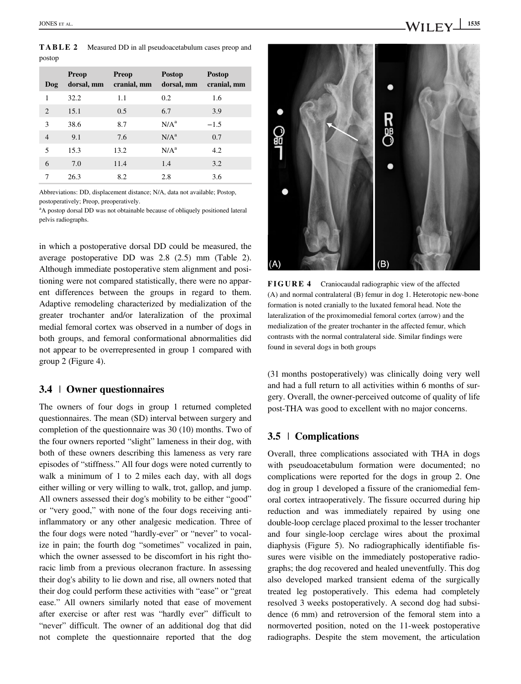TABLE 2 Measured DD in all pseudoacetabulum cases preop and postop

| Dog            | <b>Preop</b><br>dorsal, mm | <b>Preop</b><br>cranial, mm | <b>Postop</b><br>dorsal, mm | <b>Postop</b><br>cranial, mm |
|----------------|----------------------------|-----------------------------|-----------------------------|------------------------------|
| 1              | 32.2                       | 1.1                         | 0.2                         | 1.6                          |
| $\overline{c}$ | 15.1                       | 0.5                         | 6.7                         | 3.9                          |
| 3              | 38.6                       | 8.7                         | N/A <sup>a</sup>            | $-1.5$                       |
| $\overline{4}$ | 9.1                        | 7.6                         | N/A <sup>a</sup>            | 0.7                          |
| 5              | 15.3                       | 13.2                        | N/A <sup>a</sup>            | 4.2                          |
| 6              | 7.0                        | 11.4                        | 1.4                         | 3.2                          |
| 7              | 26.3                       | 8.2                         | 2.8                         | 3.6                          |

Abbreviations: DD, displacement distance; N/A, data not available; Postop, postoperatively; Preop, preoperatively.

<sup>a</sup>A postop dorsal DD was not obtainable because of obliquely positioned lateral pelvis radiographs.

in which a postoperative dorsal DD could be measured, the average postoperative DD was 2.8 (2.5) mm (Table 2). Although immediate postoperative stem alignment and positioning were not compared statistically, there were no apparent differences between the groups in regard to them. Adaptive remodeling characterized by medialization of the greater trochanter and/or lateralization of the proximal medial femoral cortex was observed in a number of dogs in both groups, and femoral conformational abnormalities did not appear to be overrepresented in group 1 compared with group 2 (Figure 4).

#### 3.4 | Owner questionnaires

The owners of four dogs in group 1 returned completed questionnaires. The mean (SD) interval between surgery and completion of the questionnaire was 30 (10) months. Two of the four owners reported "slight" lameness in their dog, with both of these owners describing this lameness as very rare episodes of "stiffness." All four dogs were noted currently to walk a minimum of 1 to 2 miles each day, with all dogs either willing or very willing to walk, trot, gallop, and jump. All owners assessed their dog's mobility to be either "good" or "very good," with none of the four dogs receiving antiinflammatory or any other analgesic medication. Three of the four dogs were noted "hardly-ever" or "never" to vocalize in pain; the fourth dog "sometimes" vocalized in pain, which the owner assessed to be discomfort in his right thoracic limb from a previous olecranon fracture. In assessing their dog's ability to lie down and rise, all owners noted that their dog could perform these activities with "ease" or "great ease." All owners similarly noted that ease of movement after exercise or after rest was "hardly ever" difficult to "never" difficult. The owner of an additional dog that did not complete the questionnaire reported that the dog



FIGURE 4 Craniocaudal radiographic view of the affected (A) and normal contralateral (B) femur in dog 1. Heterotopic new-bone formation is noted cranially to the luxated femoral head. Note the lateralization of the proximomedial femoral cortex (arrow) and the medialization of the greater trochanter in the affected femur, which contrasts with the normal contralateral side. Similar findings were found in several dogs in both groups

(31 months postoperatively) was clinically doing very well and had a full return to all activities within 6 months of surgery. Overall, the owner-perceived outcome of quality of life post-THA was good to excellent with no major concerns.

#### 3.5 | Complications

Overall, three complications associated with THA in dogs with pseudoacetabulum formation were documented; no complications were reported for the dogs in group 2. One dog in group 1 developed a fissure of the craniomedial femoral cortex intraoperatively. The fissure occurred during hip reduction and was immediately repaired by using one double-loop cerclage placed proximal to the lesser trochanter and four single-loop cerclage wires about the proximal diaphysis (Figure 5). No radiographically identifiable fissures were visible on the immediately postoperative radiographs; the dog recovered and healed uneventfully. This dog also developed marked transient edema of the surgically treated leg postoperatively. This edema had completely resolved 3 weeks postoperatively. A second dog had subsidence (6 mm) and retroversion of the femoral stem into a normoverted position, noted on the 11-week postoperative radiographs. Despite the stem movement, the articulation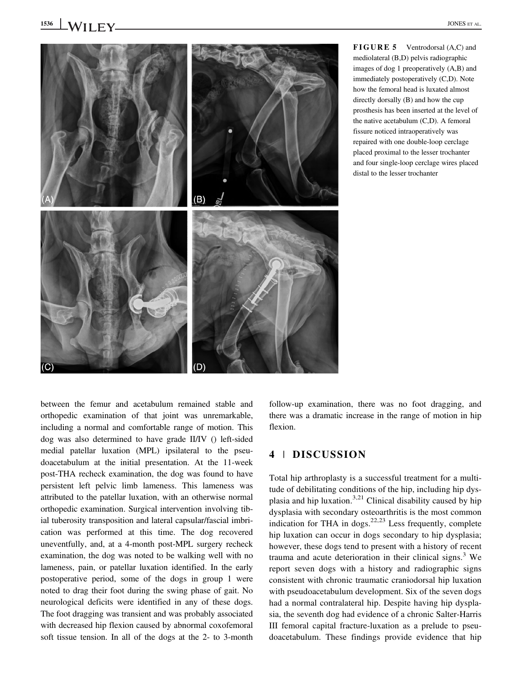

FIGURE 5 Ventrodorsal (A,C) and mediolateral (B,D) pelvis radiographic images of dog 1 preoperatively (A,B) and immediately postoperatively (C,D). Note how the femoral head is luxated almost directly dorsally (B) and how the cup prosthesis has been inserted at the level of the native acetabulum (C,D). A femoral fissure noticed intraoperatively was repaired with one double-loop cerclage placed proximal to the lesser trochanter and four single-loop cerclage wires placed distal to the lesser trochanter

between the femur and acetabulum remained stable and orthopedic examination of that joint was unremarkable, including a normal and comfortable range of motion. This dog was also determined to have grade II/IV () left-sided medial patellar luxation (MPL) ipsilateral to the pseudoacetabulum at the initial presentation. At the 11-week post-THA recheck examination, the dog was found to have persistent left pelvic limb lameness. This lameness was attributed to the patellar luxation, with an otherwise normal orthopedic examination. Surgical intervention involving tibial tuberosity transposition and lateral capsular/fascial imbrication was performed at this time. The dog recovered uneventfully, and, at a 4-month post-MPL surgery recheck examination, the dog was noted to be walking well with no lameness, pain, or patellar luxation identified. In the early postoperative period, some of the dogs in group 1 were noted to drag their foot during the swing phase of gait. No neurological deficits were identified in any of these dogs. The foot dragging was transient and was probably associated with decreased hip flexion caused by abnormal coxofemoral soft tissue tension. In all of the dogs at the 2- to 3-month

follow-up examination, there was no foot dragging, and there was a dramatic increase in the range of motion in hip flexion.

#### 4 | DISCUSSION

Total hip arthroplasty is a successful treatment for a multitude of debilitating conditions of the hip, including hip dysplasia and hip luxation. $3,21$  Clinical disability caused by hip dysplasia with secondary osteoarthritis is the most common indication for THA in dogs.<sup>22,23</sup> Less frequently, complete hip luxation can occur in dogs secondary to hip dysplasia; however, these dogs tend to present with a history of recent trauma and acute deterioration in their clinical signs.<sup>3</sup> We report seven dogs with a history and radiographic signs consistent with chronic traumatic craniodorsal hip luxation with pseudoacetabulum development. Six of the seven dogs had a normal contralateral hip. Despite having hip dysplasia, the seventh dog had evidence of a chronic Salter-Harris III femoral capital fracture-luxation as a prelude to pseudoacetabulum. These findings provide evidence that hip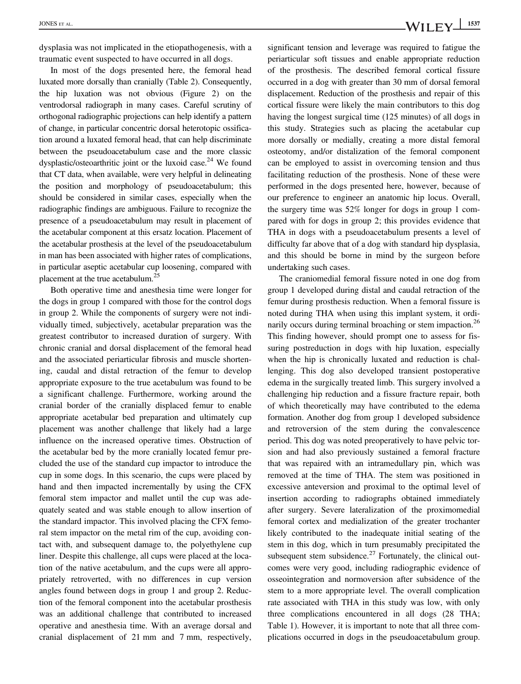dysplasia was not implicated in the etiopathogenesis, with a traumatic event suspected to have occurred in all dogs.

In most of the dogs presented here, the femoral head luxated more dorsally than cranially (Table 2). Consequently, the hip luxation was not obvious (Figure 2) on the ventrodorsal radiograph in many cases. Careful scrutiny of orthogonal radiographic projections can help identify a pattern of change, in particular concentric dorsal heterotopic ossification around a luxated femoral head, that can help discriminate between the pseudoacetabulum case and the more classic dysplastic/osteoarthritic joint or the luxoid case.<sup>24</sup> We found that CT data, when available, were very helpful in delineating the position and morphology of pseudoacetabulum; this should be considered in similar cases, especially when the radiographic findings are ambiguous. Failure to recognize the presence of a pseudoacetabulum may result in placement of the acetabular component at this ersatz location. Placement of the acetabular prosthesis at the level of the pseudoacetabulum in man has been associated with higher rates of complications, in particular aseptic acetabular cup loosening, compared with placement at the true acetabulum.<sup>25</sup>

Both operative time and anesthesia time were longer for the dogs in group 1 compared with those for the control dogs in group 2. While the components of surgery were not individually timed, subjectively, acetabular preparation was the greatest contributor to increased duration of surgery. With chronic cranial and dorsal displacement of the femoral head and the associated periarticular fibrosis and muscle shortening, caudal and distal retraction of the femur to develop appropriate exposure to the true acetabulum was found to be a significant challenge. Furthermore, working around the cranial border of the cranially displaced femur to enable appropriate acetabular bed preparation and ultimately cup placement was another challenge that likely had a large influence on the increased operative times. Obstruction of the acetabular bed by the more cranially located femur precluded the use of the standard cup impactor to introduce the cup in some dogs. In this scenario, the cups were placed by hand and then impacted incrementally by using the CFX femoral stem impactor and mallet until the cup was adequately seated and was stable enough to allow insertion of the standard impactor. This involved placing the CFX femoral stem impactor on the metal rim of the cup, avoiding contact with, and subsequent damage to, the polyethylene cup liner. Despite this challenge, all cups were placed at the location of the native acetabulum, and the cups were all appropriately retroverted, with no differences in cup version angles found between dogs in group 1 and group 2. Reduction of the femoral component into the acetabular prosthesis was an additional challenge that contributed to increased operative and anesthesia time. With an average dorsal and cranial displacement of 21 mm and 7 mm, respectively,

significant tension and leverage was required to fatigue the periarticular soft tissues and enable appropriate reduction of the prosthesis. The described femoral cortical fissure occurred in a dog with greater than 30 mm of dorsal femoral displacement. Reduction of the prosthesis and repair of this cortical fissure were likely the main contributors to this dog having the longest surgical time (125 minutes) of all dogs in this study. Strategies such as placing the acetabular cup more dorsally or medially, creating a more distal femoral osteotomy, and/or distalization of the femoral component can be employed to assist in overcoming tension and thus facilitating reduction of the prosthesis. None of these were performed in the dogs presented here, however, because of our preference to engineer an anatomic hip locus. Overall, the surgery time was 52% longer for dogs in group 1 compared with for dogs in group 2; this provides evidence that THA in dogs with a pseudoacetabulum presents a level of difficulty far above that of a dog with standard hip dysplasia, and this should be borne in mind by the surgeon before undertaking such cases.

The craniomedial femoral fissure noted in one dog from group 1 developed during distal and caudal retraction of the femur during prosthesis reduction. When a femoral fissure is noted during THA when using this implant system, it ordinarily occurs during terminal broaching or stem impaction.<sup>26</sup> This finding however, should prompt one to assess for fissuring postreduction in dogs with hip luxation, especially when the hip is chronically luxated and reduction is challenging. This dog also developed transient postoperative edema in the surgically treated limb. This surgery involved a challenging hip reduction and a fissure fracture repair, both of which theoretically may have contributed to the edema formation. Another dog from group 1 developed subsidence and retroversion of the stem during the convalescence period. This dog was noted preoperatively to have pelvic torsion and had also previously sustained a femoral fracture that was repaired with an intramedullary pin, which was removed at the time of THA. The stem was positioned in excessive anteversion and proximal to the optimal level of insertion according to radiographs obtained immediately after surgery. Severe lateralization of the proximomedial femoral cortex and medialization of the greater trochanter likely contributed to the inadequate initial seating of the stem in this dog, which in turn presumably precipitated the subsequent stem subsidence.<sup>27</sup> Fortunately, the clinical outcomes were very good, including radiographic evidence of osseointegration and normoversion after subsidence of the stem to a more appropriate level. The overall complication rate associated with THA in this study was low, with only three complications encountered in all dogs (28 THA; Table 1). However, it is important to note that all three complications occurred in dogs in the pseudoacetabulum group.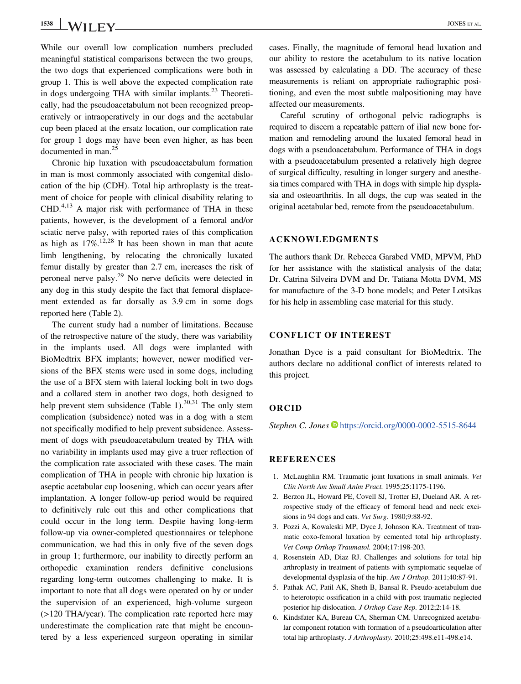# $1538$   $\text{LWII}$   $\text{FV}$   $\text{NUS}$   $\text{F1}$

While our overall low complication numbers precluded meaningful statistical comparisons between the two groups, the two dogs that experienced complications were both in group 1. This is well above the expected complication rate in dogs undergoing THA with similar implants. $^{23}$  Theoretically, had the pseudoacetabulum not been recognized preoperatively or intraoperatively in our dogs and the acetabular cup been placed at the ersatz location, our complication rate for group 1 dogs may have been even higher, as has been documented in man.<sup>25</sup>

Chronic hip luxation with pseudoacetabulum formation in man is most commonly associated with congenital dislocation of the hip (CDH). Total hip arthroplasty is the treatment of choice for people with clinical disability relating to  $CHD<sup>4,13</sup>$  A major risk with performance of THA in these patients, however, is the development of a femoral and/or sciatic nerve palsy, with reported rates of this complication as high as  $17\%$ ,  $12,28$  It has been shown in man that acute limb lengthening, by relocating the chronically luxated femur distally by greater than 2.7 cm, increases the risk of peroneal nerve palsy.29 No nerve deficits were detected in any dog in this study despite the fact that femoral displacement extended as far dorsally as 3.9 cm in some dogs reported here (Table 2).

The current study had a number of limitations. Because of the retrospective nature of the study, there was variability in the implants used. All dogs were implanted with BioMedtrix BFX implants; however, newer modified versions of the BFX stems were used in some dogs, including the use of a BFX stem with lateral locking bolt in two dogs and a collared stem in another two dogs, both designed to help prevent stem subsidence (Table 1).<sup>30,31</sup> The only stem complication (subsidence) noted was in a dog with a stem not specifically modified to help prevent subsidence. Assessment of dogs with pseudoacetabulum treated by THA with no variability in implants used may give a truer reflection of the complication rate associated with these cases. The main complication of THA in people with chronic hip luxation is aseptic acetabular cup loosening, which can occur years after implantation. A longer follow-up period would be required to definitively rule out this and other complications that could occur in the long term. Despite having long-term follow-up via owner-completed questionnaires or telephone communication, we had this in only five of the seven dogs in group 1; furthermore, our inability to directly perform an orthopedic examination renders definitive conclusions regarding long-term outcomes challenging to make. It is important to note that all dogs were operated on by or under the supervision of an experienced, high-volume surgeon (>120 THA/year). The complication rate reported here may underestimate the complication rate that might be encountered by a less experienced surgeon operating in similar

cases. Finally, the magnitude of femoral head luxation and our ability to restore the acetabulum to its native location was assessed by calculating a DD. The accuracy of these measurements is reliant on appropriate radiographic positioning, and even the most subtle malpositioning may have affected our measurements.

Careful scrutiny of orthogonal pelvic radiographs is required to discern a repeatable pattern of ilial new bone formation and remodeling around the luxated femoral head in dogs with a pseudoacetabulum. Performance of THA in dogs with a pseudoacetabulum presented a relatively high degree of surgical difficulty, resulting in longer surgery and anesthesia times compared with THA in dogs with simple hip dysplasia and osteoarthritis. In all dogs, the cup was seated in the original acetabular bed, remote from the pseudoacetabulum.

#### ACKNOWLEDGMENTS

The authors thank Dr. Rebecca Garabed VMD, MPVM, PhD for her assistance with the statistical analysis of the data; Dr. Catrina Silveira DVM and Dr. Tatiana Motta DVM, MS for manufacture of the 3-D bone models; and Peter Lotsikas for his help in assembling case material for this study.

#### CONFLICT OF INTEREST

Jonathan Dyce is a paid consultant for BioMedtrix. The authors declare no additional conflict of interests related to this project.

#### ORCID

Stephen C. Jones <https://orcid.org/0000-0002-5515-8644>

#### REFERENCES

- 1. McLaughlin RM. Traumatic joint luxations in small animals. Vet Clin North Am Small Anim Pract. 1995;25:1175-1196.
- 2. Berzon JL, Howard PE, Covell SJ, Trotter EJ, Dueland AR. A retrospective study of the efficacy of femoral head and neck excisions in 94 dogs and cats. Vet Surg. 1980;9:88-92.
- 3. Pozzi A, Kowaleski MP, Dyce J, Johnson KA. Treatment of traumatic coxo-femoral luxation by cemented total hip arthroplasty. Vet Comp Orthop Traumatol. 2004;17:198-203.
- 4. Rosenstein AD, Diaz RJ. Challenges and solutions for total hip arthroplasty in treatment of patients with symptomatic sequelae of developmental dysplasia of the hip. Am J Orthop. 2011;40:87-91.
- 5. Pathak AC, Patil AK, Sheth B, Bansal R. Pseudo-acetabulum due to heterotopic ossification in a child with post traumatic neglected posterior hip dislocation. J Orthop Case Rep. 2012;2:14-18.
- 6. Kindsfater KA, Bureau CA, Sherman CM. Unrecognized acetabular component rotation with formation of a pseudoarticulation after total hip arthroplasty. J Arthroplasty. 2010;25:498.e11-498.e14.